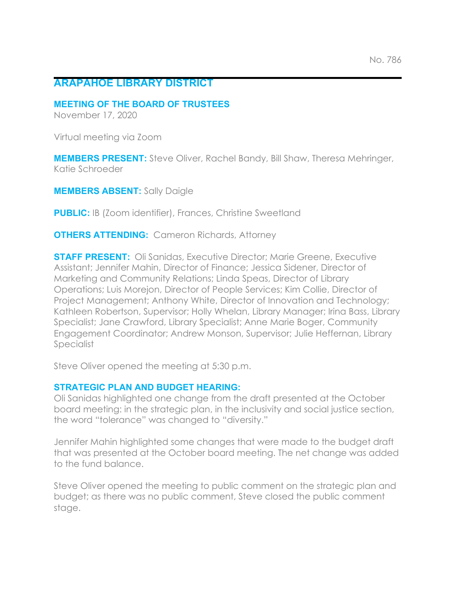## **ARAPAHOE LIBRARY DISTRICT**

## **MEETING OF THE BOARD OF TRUSTEES**

November 17, 2020

Virtual meeting via Zoom

**MEMBERS PRESENT:** Steve Oliver, Rachel Bandy, Bill Shaw, Theresa Mehringer, Katie Schroeder

**MEMBERS ABSENT:** Sally Daigle

**PUBLIC:** IB (Zoom identifier), Frances, Christine Sweetland

**OTHERS ATTENDING:** Cameron Richards, Attorney

**STAFF PRESENT:** Oli Sanidas, Executive Director; Marie Greene, Executive Assistant; Jennifer Mahin, Director of Finance; Jessica Sidener, Director of Marketing and Community Relations; Linda Speas, Director of Library Operations; Luis Morejon, Director of People Services; Kim Collie, Director of Project Management; Anthony White, Director of Innovation and Technology; Kathleen Robertson, Supervisor; Holly Whelan, Library Manager; Irina Bass, Library Specialist; Jane Crawford, Library Specialist; Anne Marie Boger, Community Engagement Coordinator; Andrew Monson, Supervisor; Julie Heffernan, Library Specialist

Steve Oliver opened the meeting at 5:30 p.m.

## **STRATEGIC PLAN AND BUDGET HEARING:**

Oli Sanidas highlighted one change from the draft presented at the October board meeting: in the strategic plan, in the inclusivity and social justice section, the word "tolerance" was changed to "diversity."

Jennifer Mahin highlighted some changes that were made to the budget draft that was presented at the October board meeting. The net change was added to the fund balance.

Steve Oliver opened the meeting to public comment on the strategic plan and budget; as there was no public comment, Steve closed the public comment stage.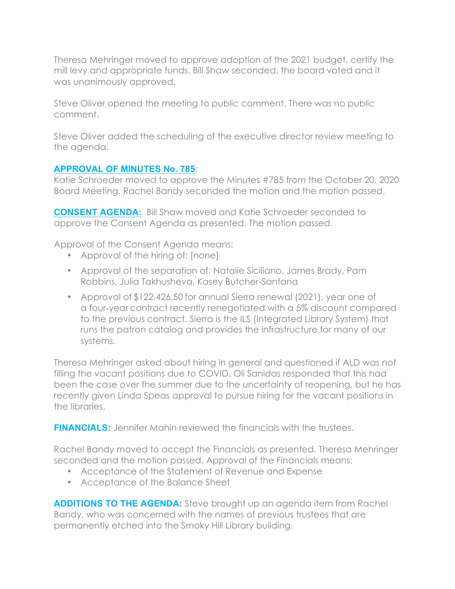Theresa Mehringer moved to approve adoption of the 2021 budget, certify the mill levy and appropriate funds. Bill Shaw seconded, the board voted and it was unanimously approved.

Steve Oliver opened the meeting to public comment. There was no public comment.

Steve Oliver added the scheduling of the executive director review meeting to the agenda.

## **APPROVAL OF MINUTES No. 785**:

Katie Schroeder moved to approve the Minutes #785 from the October 20, 2020 Board Meeting. Rachel Bandy seconded the motion and the motion passed.

**CONSENT AGENDA:** Bill Shaw moved and Katie Schroeder seconded to approve the Consent Agenda as presented. The motion passed.

Approval of the Consent Agenda means:

- Approval of the hiring of: [none]
- Approval of the separation of: Natalie Siciliano, James Brady, Pam Robbins, Julia Takhusheva, Kasey Butcher-Santana
- Approval of \$122,426.50 for annual Sierra renewal (2021), year one of a four-year contract recently renegotiated with a 5% discount compared to the previous contract. Sierra is the ILS (Integrated Library System) that runs the patron catalog and provides the infrastructure for many of our systems.

Theresa Mehringer asked about hiring in general and questioned if ALD was not filling the vacant positions due to COVID. Oli Sanidas responded that this had been the case over the summer due to the uncertainty of reopening, but he has recently given Linda Speas approval to pursue hiring for the vacant positions in the libraries.

**FINANCIALS:** Jennifer Mahin reviewed the financials with the trustees.

Rachel Bandy moved to accept the Financials as presented. Theresa Mehringer seconded and the motion passed. Approval of the Financials means:

- Acceptance of the Statement of Revenue and Expense
- Acceptance of the Balance Sheet

**ADDITIONS TO THE AGENDA:** Steve brought up an agenda item from Rachel Bandy, who was concerned with the names of previous trustees that are permanently etched into the Smoky Hill Library building.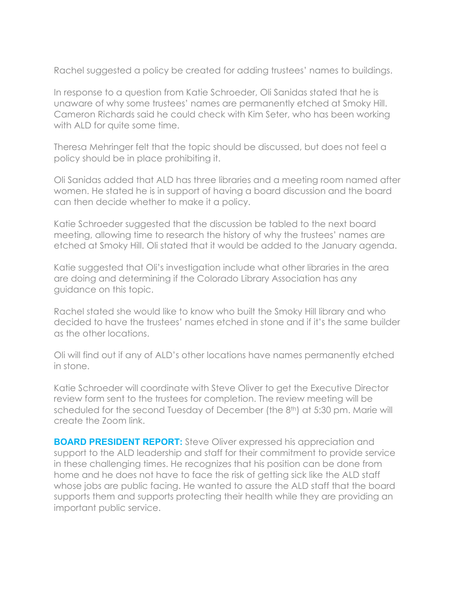Rachel suggested a policy be created for adding trustees' names to buildings.

In response to a question from Katie Schroeder, Oli Sanidas stated that he is unaware of why some trustees' names are permanently etched at Smoky Hill. Cameron Richards said he could check with Kim Seter, who has been working with ALD for quite some time.

Theresa Mehringer felt that the topic should be discussed, but does not feel a policy should be in place prohibiting it.

Oli Sanidas added that ALD has three libraries and a meeting room named after women. He stated he is in support of having a board discussion and the board can then decide whether to make it a policy.

Katie Schroeder suggested that the discussion be tabled to the next board meeting, allowing time to research the history of why the trustees' names are etched at Smoky Hill. Oli stated that it would be added to the January agenda.

Katie suggested that Oli's investigation include what other libraries in the area are doing and determining if the Colorado Library Association has any guidance on this topic.

Rachel stated she would like to know who built the Smoky Hill library and who decided to have the trustees' names etched in stone and if it's the same builder as the other locations.

Oli will find out if any of ALD's other locations have names permanently etched in stone.

Katie Schroeder will coordinate with Steve Oliver to get the Executive Director review form sent to the trustees for completion. The review meeting will be scheduled for the second Tuesday of December (the 8<sup>th</sup>) at 5:30 pm. Marie will create the Zoom link.

**BOARD PRESIDENT REPORT:** Steve Oliver expressed his appreciation and support to the ALD leadership and staff for their commitment to provide service in these challenging times. He recognizes that his position can be done from home and he does not have to face the risk of getting sick like the ALD staff whose jobs are public facing. He wanted to assure the ALD staff that the board supports them and supports protecting their health while they are providing an important public service.